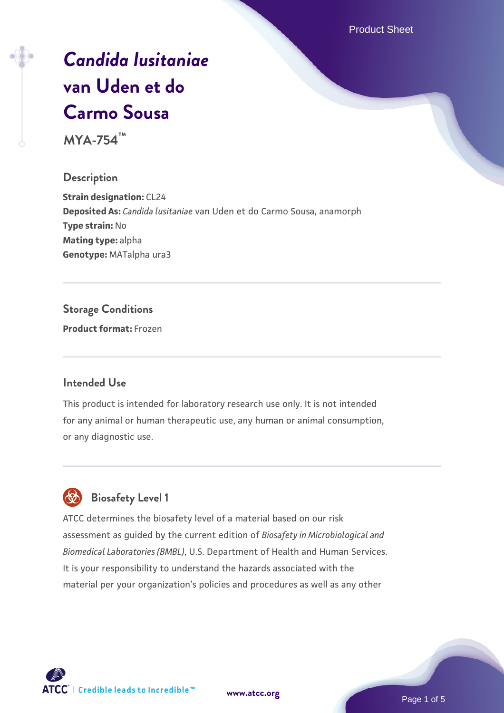Product Sheet

# *[Candida lusitaniae](https://www.atcc.org/products/mya-754)* **[van Uden et do](https://www.atcc.org/products/mya-754) [Carmo Sousa](https://www.atcc.org/products/mya-754)**

**MYA-754™**

#### **Description**

**Strain designation:** CL24 **Deposited As:** *Candida lusitaniae* van Uden et do Carmo Sousa, anamorph **Type strain:** No **Mating type:** alpha **Genotype:** MATalpha ura3

#### **Storage Conditions**

**Product format:** Frozen

#### **Intended Use**

This product is intended for laboratory research use only. It is not intended for any animal or human therapeutic use, any human or animal consumption, or any diagnostic use.



#### **Biosafety Level 1**

ATCC determines the biosafety level of a material based on our risk assessment as guided by the current edition of *Biosafety in Microbiological and Biomedical Laboratories (BMBL)*, U.S. Department of Health and Human Services. It is your responsibility to understand the hazards associated with the material per your organization's policies and procedures as well as any other



**[www.atcc.org](http://www.atcc.org)**

Page 1 of 5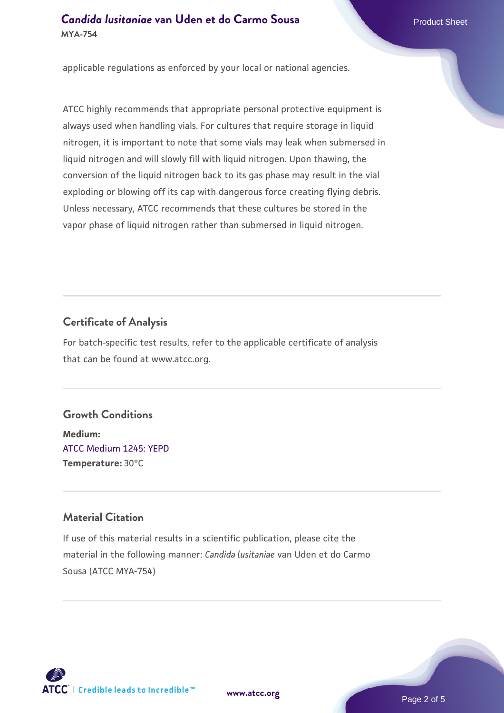#### **Candida Iusitaniae [van Uden et do Carmo Sousa](https://www.atcc.org/products/mya-754)** Product Sheet **MYA-754**

applicable regulations as enforced by your local or national agencies.

ATCC highly recommends that appropriate personal protective equipment is always used when handling vials. For cultures that require storage in liquid nitrogen, it is important to note that some vials may leak when submersed in liquid nitrogen and will slowly fill with liquid nitrogen. Upon thawing, the conversion of the liquid nitrogen back to its gas phase may result in the vial exploding or blowing off its cap with dangerous force creating flying debris. Unless necessary, ATCC recommends that these cultures be stored in the vapor phase of liquid nitrogen rather than submersed in liquid nitrogen.

#### **Certificate of Analysis**

For batch-specific test results, refer to the applicable certificate of analysis that can be found at www.atcc.org.

#### **Growth Conditions**

**Medium:**  [ATCC Medium 1245: YEPD](https://www.atcc.org/-/media/product-assets/documents/microbial-media-formulations/1/2/4/5/atcc-medium-1245.pdf?rev=705ca55d1b6f490a808a965d5c072196) **Temperature:** 30°C

#### **Material Citation**

If use of this material results in a scientific publication, please cite the material in the following manner: *Candida lusitaniae* van Uden et do Carmo Sousa (ATCC MYA-754)



**[www.atcc.org](http://www.atcc.org)**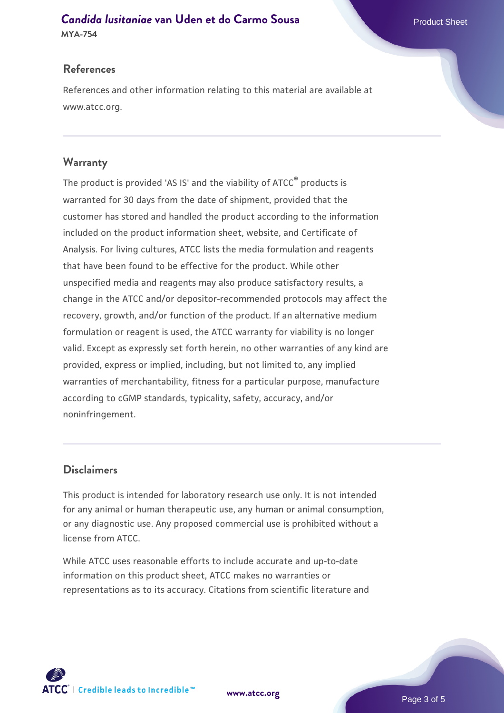## **Candida Iusitaniae [van Uden et do Carmo Sousa](https://www.atcc.org/products/mya-754)** Product Sheet

**MYA-754**

#### **References**

References and other information relating to this material are available at www.atcc.org.

#### **Warranty**

The product is provided 'AS IS' and the viability of ATCC® products is warranted for 30 days from the date of shipment, provided that the customer has stored and handled the product according to the information included on the product information sheet, website, and Certificate of Analysis. For living cultures, ATCC lists the media formulation and reagents that have been found to be effective for the product. While other unspecified media and reagents may also produce satisfactory results, a change in the ATCC and/or depositor-recommended protocols may affect the recovery, growth, and/or function of the product. If an alternative medium formulation or reagent is used, the ATCC warranty for viability is no longer valid. Except as expressly set forth herein, no other warranties of any kind are provided, express or implied, including, but not limited to, any implied warranties of merchantability, fitness for a particular purpose, manufacture according to cGMP standards, typicality, safety, accuracy, and/or noninfringement.

#### **Disclaimers**

This product is intended for laboratory research use only. It is not intended for any animal or human therapeutic use, any human or animal consumption, or any diagnostic use. Any proposed commercial use is prohibited without a license from ATCC.

While ATCC uses reasonable efforts to include accurate and up-to-date information on this product sheet, ATCC makes no warranties or representations as to its accuracy. Citations from scientific literature and

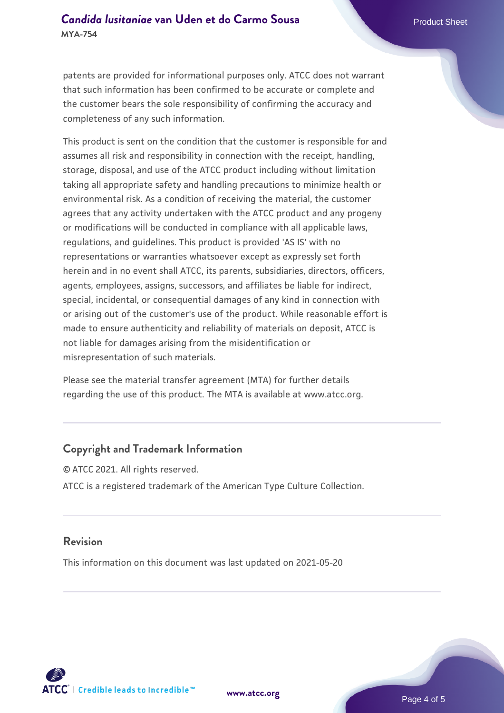#### **Candida Iusitaniae [van Uden et do Carmo Sousa](https://www.atcc.org/products/mya-754)** Product Sheet **MYA-754**

patents are provided for informational purposes only. ATCC does not warrant that such information has been confirmed to be accurate or complete and the customer bears the sole responsibility of confirming the accuracy and completeness of any such information.

This product is sent on the condition that the customer is responsible for and assumes all risk and responsibility in connection with the receipt, handling, storage, disposal, and use of the ATCC product including without limitation taking all appropriate safety and handling precautions to minimize health or environmental risk. As a condition of receiving the material, the customer agrees that any activity undertaken with the ATCC product and any progeny or modifications will be conducted in compliance with all applicable laws, regulations, and guidelines. This product is provided 'AS IS' with no representations or warranties whatsoever except as expressly set forth herein and in no event shall ATCC, its parents, subsidiaries, directors, officers, agents, employees, assigns, successors, and affiliates be liable for indirect, special, incidental, or consequential damages of any kind in connection with or arising out of the customer's use of the product. While reasonable effort is made to ensure authenticity and reliability of materials on deposit, ATCC is not liable for damages arising from the misidentification or misrepresentation of such materials.

Please see the material transfer agreement (MTA) for further details regarding the use of this product. The MTA is available at www.atcc.org.

#### **Copyright and Trademark Information**

© ATCC 2021. All rights reserved. ATCC is a registered trademark of the American Type Culture Collection.

#### **Revision**

This information on this document was last updated on 2021-05-20



**[www.atcc.org](http://www.atcc.org)**